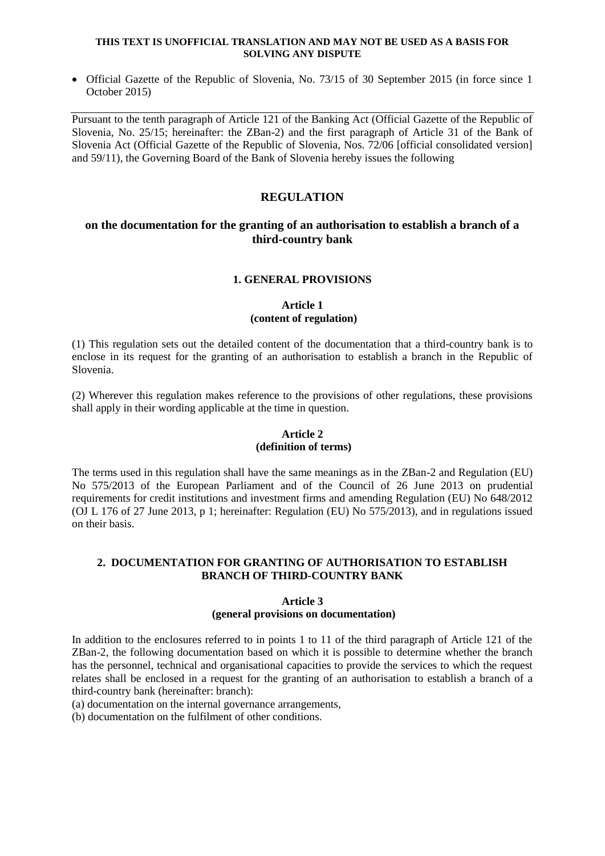#### **THIS TEXT IS UNOFFICIAL TRANSLATION AND MAY NOT BE USED AS A BASIS FOR SOLVING ANY DISPUTE**

 Official Gazette of the Republic of Slovenia, No. 73/15 of 30 September 2015 (in force since 1 October 2015)

Pursuant to the tenth paragraph of Article 121 of the Banking Act (Official Gazette of the Republic of Slovenia, No. 25/15; hereinafter: the ZBan-2) and the first paragraph of Article 31 of the Bank of Slovenia Act (Official Gazette of the Republic of Slovenia, Nos. 72/06 [official consolidated version] and 59/11), the Governing Board of the Bank of Slovenia hereby issues the following

# **REGULATION**

# **on the documentation for the granting of an authorisation to establish a branch of a third-country bank**

# **1. GENERAL PROVISIONS**

# **Article 1 (content of regulation)**

(1) This regulation sets out the detailed content of the documentation that a third-country bank is to enclose in its request for the granting of an authorisation to establish a branch in the Republic of Slovenia.

(2) Wherever this regulation makes reference to the provisions of other regulations, these provisions shall apply in their wording applicable at the time in question.

### **Article 2 (definition of terms)**

The terms used in this regulation shall have the same meanings as in the ZBan-2 and Regulation (EU) No 575/2013 of the European Parliament and of the Council of 26 June 2013 on prudential requirements for credit institutions and investment firms and amending Regulation (EU) No 648/2012 (OJ L 176 of 27 June 2013, p 1; hereinafter: Regulation (EU) No 575/2013), and in regulations issued on their basis.

## **2. DOCUMENTATION FOR GRANTING OF AUTHORISATION TO ESTABLISH BRANCH OF THIRD-COUNTRY BANK**

### **Article 3**

### **(general provisions on documentation)**

In addition to the enclosures referred to in points 1 to 11 of the third paragraph of Article 121 of the ZBan-2, the following documentation based on which it is possible to determine whether the branch has the personnel, technical and organisational capacities to provide the services to which the request relates shall be enclosed in a request for the granting of an authorisation to establish a branch of a third-country bank (hereinafter: branch):

(a) documentation on the internal governance arrangements,

(b) documentation on the fulfilment of other conditions.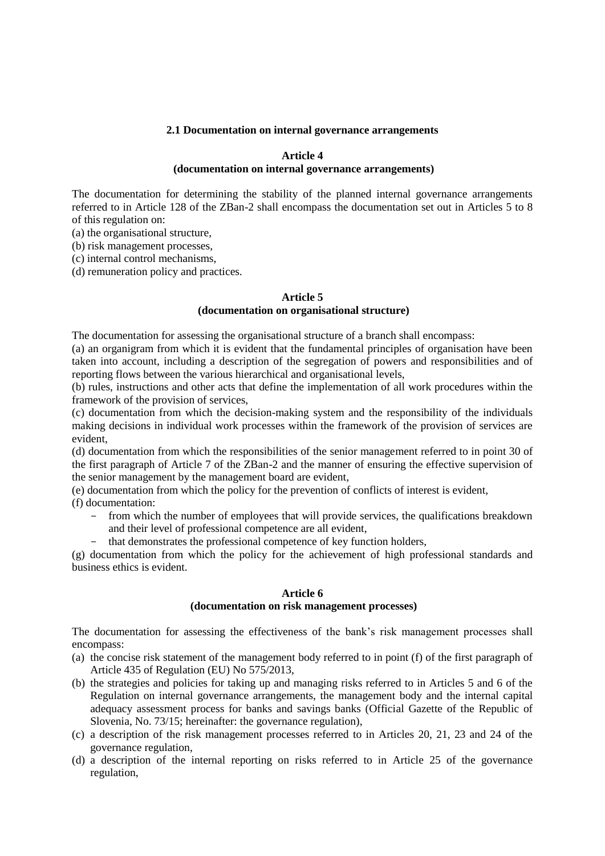#### **2.1 Documentation on internal governance arrangements**

### **Article 4**

#### **(documentation on internal governance arrangements)**

The documentation for determining the stability of the planned internal governance arrangements referred to in Article 128 of the ZBan-2 shall encompass the documentation set out in Articles 5 to 8 of this regulation on:

(a) the organisational structure,

(b) risk management processes,

(c) internal control mechanisms,

(d) remuneration policy and practices.

#### **Article 5**

### **(documentation on organisational structure)**

The documentation for assessing the organisational structure of a branch shall encompass:

(a) an organigram from which it is evident that the fundamental principles of organisation have been taken into account, including a description of the segregation of powers and responsibilities and of reporting flows between the various hierarchical and organisational levels,

(b) rules, instructions and other acts that define the implementation of all work procedures within the framework of the provision of services,

(c) documentation from which the decision-making system and the responsibility of the individuals making decisions in individual work processes within the framework of the provision of services are evident,

(d) documentation from which the responsibilities of the senior management referred to in point 30 of the first paragraph of Article 7 of the ZBan-2 and the manner of ensuring the effective supervision of the senior management by the management board are evident,

(e) documentation from which the policy for the prevention of conflicts of interest is evident,

(f) documentation:

- from which the number of employees that will provide services, the qualifications breakdown and their level of professional competence are all evident,
- that demonstrates the professional competence of key function holders,

(g) documentation from which the policy for the achievement of high professional standards and business ethics is evident.

#### **Article 6**

### **(documentation on risk management processes)**

The documentation for assessing the effectiveness of the bank's risk management processes shall encompass:

- (a) the concise risk statement of the management body referred to in point (f) of the first paragraph of Article 435 of Regulation (EU) No 575/2013,
- (b) the strategies and policies for taking up and managing risks referred to in Articles 5 and 6 of the Regulation on internal governance arrangements, the management body and the internal capital adequacy assessment process for banks and savings banks (Official Gazette of the Republic of Slovenia, No. 73/15; hereinafter: the governance regulation),
- (c) a description of the risk management processes referred to in Articles 20, 21, 23 and 24 of the governance regulation,
- (d) a description of the internal reporting on risks referred to in Article 25 of the governance regulation,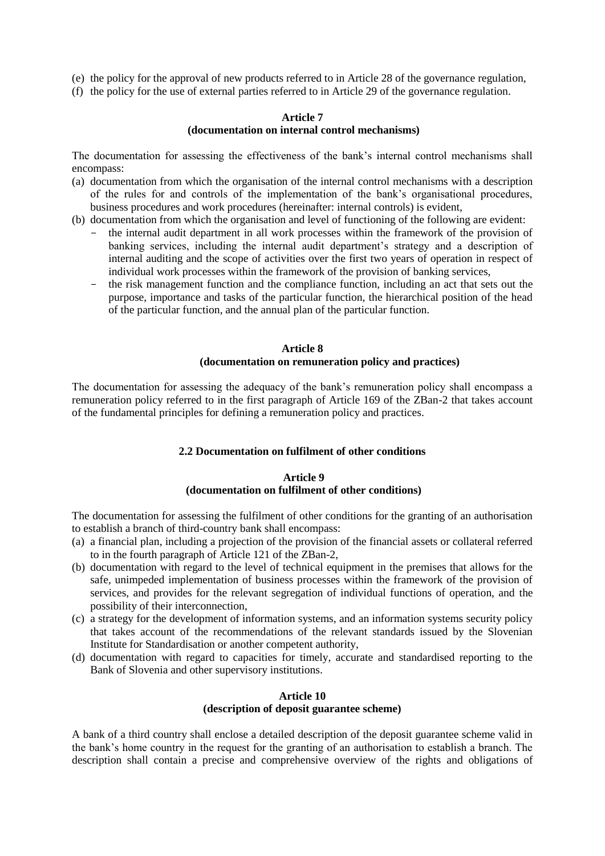- (e) the policy for the approval of new products referred to in Article 28 of the governance regulation,
- (f) the policy for the use of external parties referred to in Article 29 of the governance regulation.

### **Article 7 (documentation on internal control mechanisms)**

The documentation for assessing the effectiveness of the bank's internal control mechanisms shall encompass:

- (a) documentation from which the organisation of the internal control mechanisms with a description of the rules for and controls of the implementation of the bank's organisational procedures, business procedures and work procedures (hereinafter: internal controls) is evident,
- (b) documentation from which the organisation and level of functioning of the following are evident:
	- the internal audit department in all work processes within the framework of the provision of banking services, including the internal audit department's strategy and a description of internal auditing and the scope of activities over the first two years of operation in respect of individual work processes within the framework of the provision of banking services,
	- the risk management function and the compliance function, including an act that sets out the purpose, importance and tasks of the particular function, the hierarchical position of the head of the particular function, and the annual plan of the particular function.

## **Article 8 (documentation on remuneration policy and practices)**

The documentation for assessing the adequacy of the bank's remuneration policy shall encompass a remuneration policy referred to in the first paragraph of Article 169 of the ZBan-2 that takes account of the fundamental principles for defining a remuneration policy and practices.

### **2.2 Documentation on fulfilment of other conditions**

## **Article 9 (documentation on fulfilment of other conditions)**

The documentation for assessing the fulfilment of other conditions for the granting of an authorisation to establish a branch of third-country bank shall encompass:

- (a) a financial plan, including a projection of the provision of the financial assets or collateral referred to in the fourth paragraph of Article 121 of the ZBan-2,
- (b) documentation with regard to the level of technical equipment in the premises that allows for the safe, unimpeded implementation of business processes within the framework of the provision of services, and provides for the relevant segregation of individual functions of operation, and the possibility of their interconnection,
- (c) a strategy for the development of information systems, and an information systems security policy that takes account of the recommendations of the relevant standards issued by the Slovenian Institute for Standardisation or another competent authority,
- (d) documentation with regard to capacities for timely, accurate and standardised reporting to the Bank of Slovenia and other supervisory institutions.

## **Article 10 (description of deposit guarantee scheme)**

A bank of a third country shall enclose a detailed description of the deposit guarantee scheme valid in the bank's home country in the request for the granting of an authorisation to establish a branch. The description shall contain a precise and comprehensive overview of the rights and obligations of